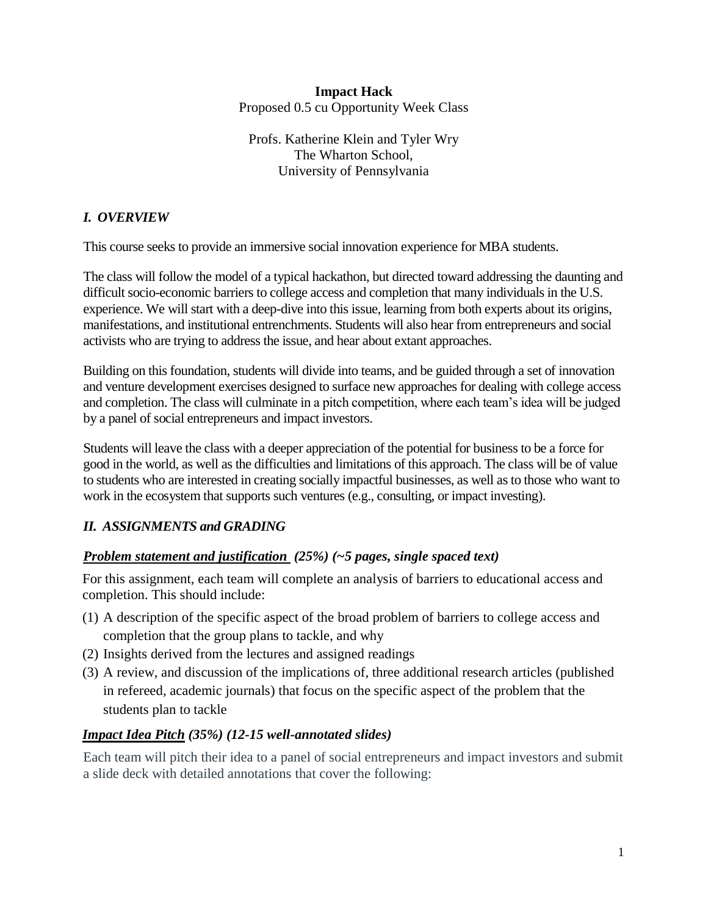### **Impact Hack** Proposed 0.5 cu Opportunity Week Class

Profs. Katherine Klein and Tyler Wry The Wharton School, University of Pennsylvania

# *I. OVERVIEW*

This course seeks to provide an immersive social innovation experience for MBA students.

The class will follow the model of a typical hackathon, but directed toward addressing the daunting and difficult socio-economic barriers to college access and completion that many individuals in the U.S. experience. We will start with a deep-dive into this issue, learning from both experts about its origins, manifestations, and institutional entrenchments. Students will also hear from entrepreneurs and social activists who are trying to address the issue, and hear about extant approaches.

Building on this foundation, students will divide into teams, and be guided through a set of innovation and venture development exercises designed to surface new approaches for dealing with college access and completion. The class will culminate in a pitch competition, where each team's idea will be judged by a panel of social entrepreneurs and impact investors.

Students will leave the class with a deeper appreciation of the potential for business to be a force for good in the world, as well as the difficulties and limitations of this approach. The class will be of value to students who are interested in creating socially impactful businesses, as well as to those who want to work in the ecosystem that supports such ventures (e.g., consulting, or impact investing).

# *II. ASSIGNMENTS and GRADING*

# *Problem statement and justification (25%) (~5 pages, single spaced text)*

For this assignment, each team will complete an analysis of barriers to educational access and completion. This should include:

- (1) A description of the specific aspect of the broad problem of barriers to college access and completion that the group plans to tackle, and why
- (2) Insights derived from the lectures and assigned readings
- (3) A review, and discussion of the implications of, three additional research articles (published in refereed, academic journals) that focus on the specific aspect of the problem that the students plan to tackle

# *Impact Idea Pitch (35%) (12-15 well-annotated slides)*

Each team will pitch their idea to a panel of social entrepreneurs and impact investors and submit a slide deck with detailed annotations that cover the following: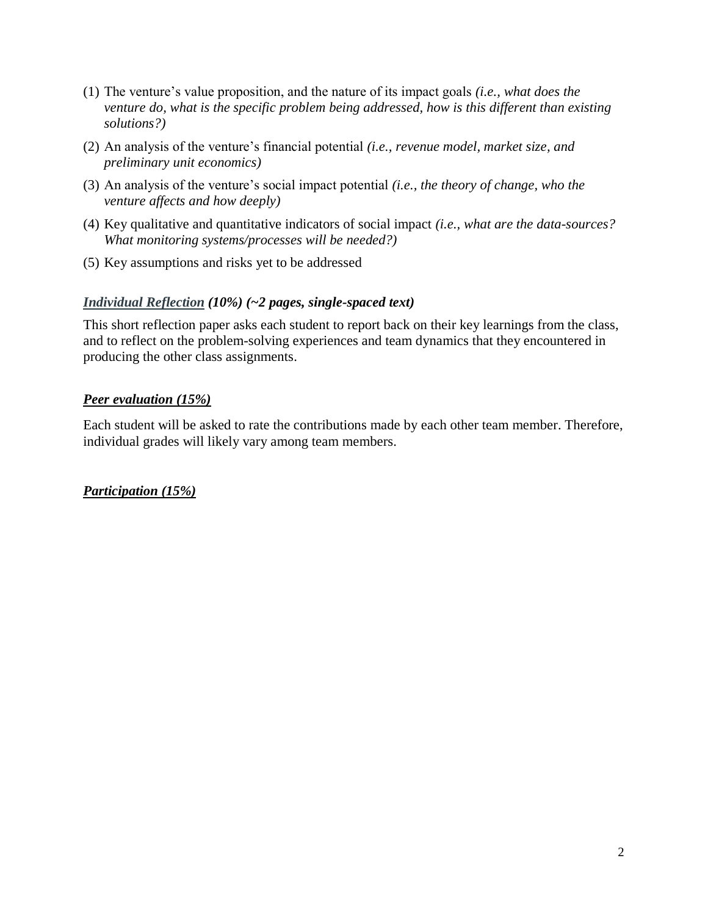- (1) The venture's value proposition, and the nature of its impact goals *(i.e., what does the venture do, what is the specific problem being addressed, how is this different than existing solutions?)*
- (2) An analysis of the venture's financial potential *(i.e., revenue model, market size, and preliminary unit economics)*
- (3) An analysis of the venture's social impact potential *(i.e., the theory of change, who the venture affects and how deeply)*
- (4) Key qualitative and quantitative indicators of social impact *(i.e., what are the data-sources? What monitoring systems/processes will be needed?)*
- (5) Key assumptions and risks yet to be addressed

## *Individual Reflection (10%) (~2 pages, single-spaced text)*

This short reflection paper asks each student to report back on their key learnings from the class, and to reflect on the problem-solving experiences and team dynamics that they encountered in producing the other class assignments.

## *Peer evaluation (15%)*

Each student will be asked to rate the contributions made by each other team member. Therefore, individual grades will likely vary among team members.

*Participation (15%)*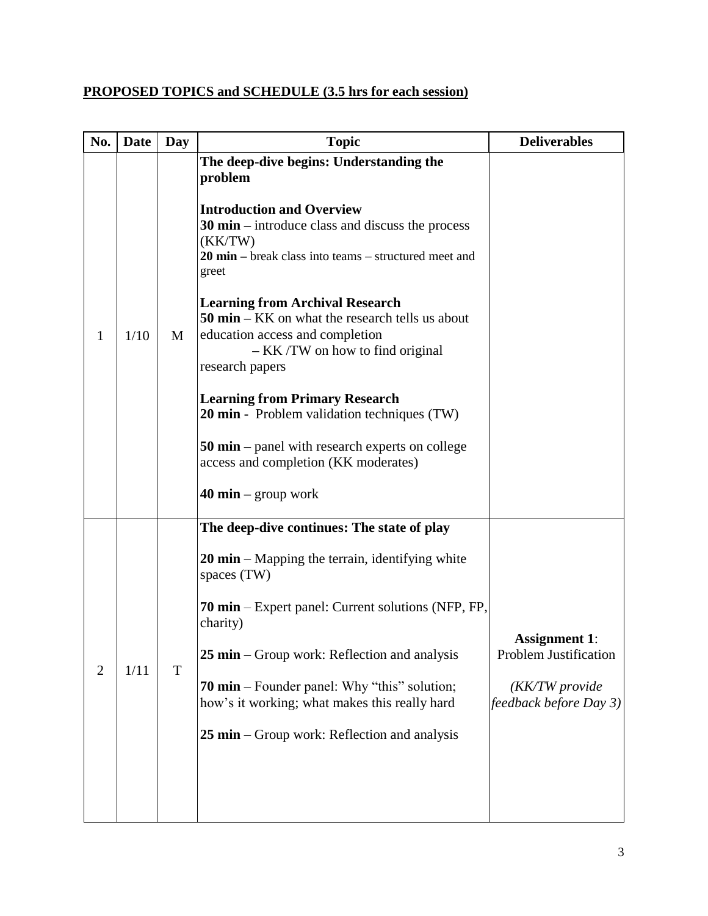# **PROPOSED TOPICS and SCHEDULE (3.5 hrs for each session)**

| No.            | <b>Date</b> | Day | <b>Topic</b>                                                                                                                                                                                                                                                                                                                                                                                                                                                                                                                                                                                                                                                                   | <b>Deliverables</b>                                                                       |
|----------------|-------------|-----|--------------------------------------------------------------------------------------------------------------------------------------------------------------------------------------------------------------------------------------------------------------------------------------------------------------------------------------------------------------------------------------------------------------------------------------------------------------------------------------------------------------------------------------------------------------------------------------------------------------------------------------------------------------------------------|-------------------------------------------------------------------------------------------|
| 1              | 1/10        | M   | The deep-dive begins: Understanding the<br>problem<br><b>Introduction and Overview</b><br>$30 \text{ min}$ – introduce class and discuss the process<br>(KK/TW)<br>$20 \text{ min}$ – break class into teams – structured meet and<br>greet<br><b>Learning from Archival Research</b><br>$50 \text{ min} - \text{KK}$ on what the research tells us about<br>education access and completion<br>$-KK/TW$ on how to find original<br>research papers<br><b>Learning from Primary Research</b><br>20 min - Problem validation techniques (TW)<br><b>50 min</b> – panel with research experts on college<br>access and completion (KK moderates)<br>$40 \text{ min}$ – group work |                                                                                           |
| $\overline{2}$ | 1/11        | T   | The deep-dive continues: The state of play<br><b>20 min</b> – Mapping the terrain, identifying white<br>spaces (TW)<br><b>70 min</b> – Expert panel: Current solutions (NFP, FP,<br>charity)<br>$25 \text{ min}$ – Group work: Reflection and analysis<br><b>70 min</b> – Founder panel: Why "this" solution;<br>how's it working; what makes this really hard<br>$25 \text{ min}$ – Group work: Reflection and analysis                                                                                                                                                                                                                                                       | <b>Assignment 1:</b><br>Problem Justification<br>(KK/TW provide<br>feedback before Day 3) |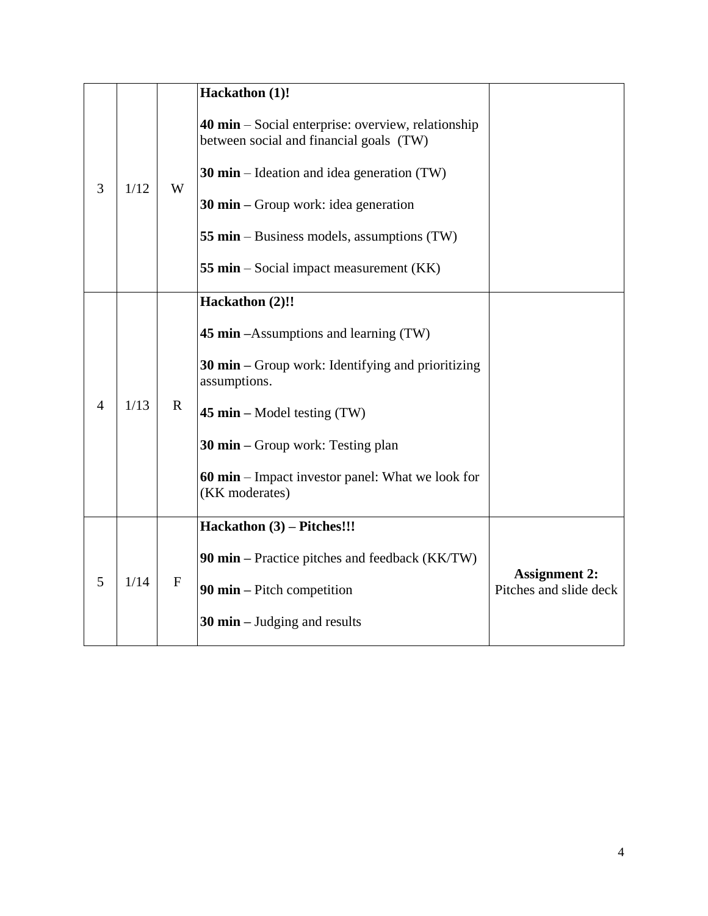|                |      |              | Hackathon (1)!                                                                                                                                                                                                                                                                                           |                                                |
|----------------|------|--------------|----------------------------------------------------------------------------------------------------------------------------------------------------------------------------------------------------------------------------------------------------------------------------------------------------------|------------------------------------------------|
| 3              | 1/12 | W            | 40 min – Social enterprise: overview, relationship<br>between social and financial goals (TW)<br><b>30 min</b> – Ideation and idea generation $(TW)$<br>30 $\text{min}$ – Group work: idea generation<br>55 min – Business models, assumptions (TW)<br><b>55 min</b> – Social impact measurement (KK)    |                                                |
| $\overline{4}$ | 1/13 | $\mathbf{R}$ | Hackathon (2)!!<br><b>45 min</b> – Assumptions and learning (TW)<br><b>30 min</b> $-$ Group work: Identifying and prioritizing<br>assumptions.<br>45 min – Model testing $(TW)$<br><b>30 min</b> – Group work: Testing plan<br><b>60 min</b> – Impact investor panel: What we look for<br>(KK moderates) |                                                |
| 5              | 1/14 | $\mathbf{F}$ | Hackathon (3) – Pitches!!!<br>90 min – Practice pitches and feedback (KK/TW)<br>90 $\min$ – Pitch competition<br><b>30 min</b> $-$ Judging and results                                                                                                                                                   | <b>Assignment 2:</b><br>Pitches and slide deck |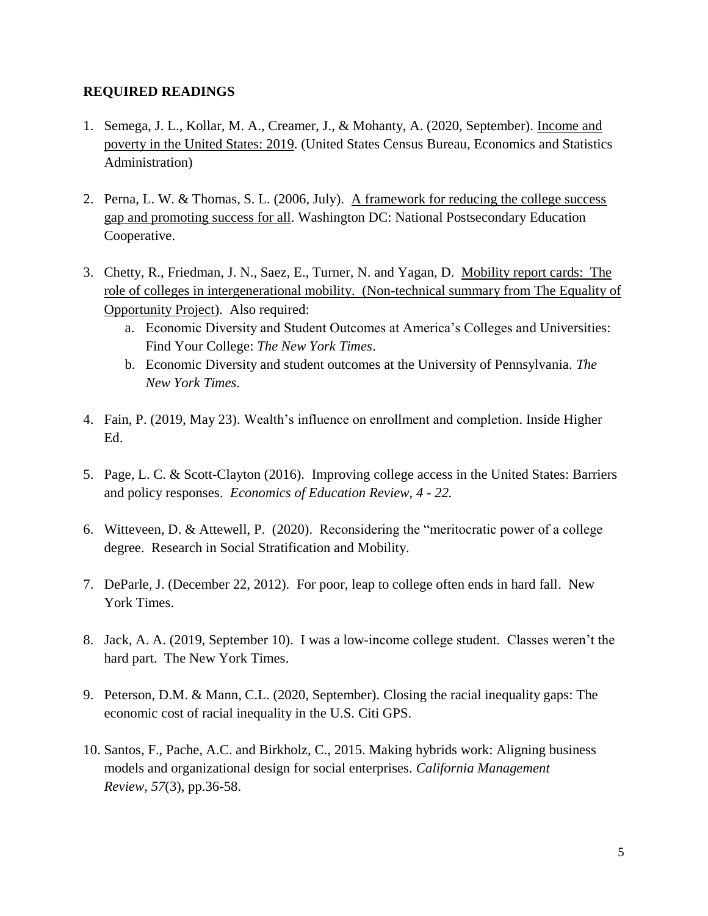#### **REQUIRED READINGS**

- 1. Semega, J. L., Kollar, M. A., Creamer, J., & Mohanty, A. (2020, September). [Income and](https://www.census.gov/library/publications/2020/demo/p60-270.html)  [poverty in the United States: 2019.](https://www.census.gov/library/publications/2020/demo/p60-270.html) (United States Census Bureau, Economics and Statistics Administration)
- 2. Perna, L. W. & Thomas, S. L. (2006, July). [A framework for reducing the college success](https://nces.ed.gov/npec/pdf/Perna_Thomas_Report.pdf)  [gap and promoting success for all.](https://nces.ed.gov/npec/pdf/Perna_Thomas_Report.pdf) Washington DC: National Postsecondary Education Cooperative.
- 3. Chetty, R., Friedman, J. N., Saez, E., Turner, N. and Yagan, D. [Mobility report cards: The](https://opportunityinsights.org/wp-content/uploads/2018/03/coll_mrc_summary.pdf)  [role of colleges in intergenerational mobility.](https://opportunityinsights.org/wp-content/uploads/2018/03/coll_mrc_summary.pdf) (Non-technical summary from The Equality of Opportunity Project). Also required:
	- a. [Economic Diversity and Student Outcomes at America's Colleges and Universities:](https://www.nytimes.com/interactive/projects/college-mobility/)  [Find Your College:](https://www.nytimes.com/interactive/projects/college-mobility/) *The New York Times*.
	- b. [Economic Diversity and student outcomes at the University of Pennsylvania.](https://www.nytimes.com/interactive/projects/college-mobility/university-of-pennsylvania) *The New York Times.*
- 4. Fain, P. (2019, May 23). [Wealth's influence on enrollment and completion.](https://www.insidehighered.com/news/2019/05/23/feds-release-broader-data-socioeconomic-status-and-college-enrollment-and-completion) Inside Higher Ed.
- 5. Page, L. C. & Scott-Clayton (2016). [Improving college access in the United States: Barriers](https://www.sciencedirect.com/science/article/abs/pii/S0272775716301248)  [and policy responses.](https://www.sciencedirect.com/science/article/abs/pii/S0272775716301248) *Economics of Education Review, 4 - 22.*
- 6. Witteveen, D. & Attewell, P. (2020). [Reconsidering the "meritocratic power of a college](https://www.sciencedirect.com/science/article/pii/S0276562420300081)  [degree.](https://www.sciencedirect.com/science/article/pii/S0276562420300081) Research in Social Stratification and Mobility.
- 7. DeParle, J. (December 22, 2012). [For poor, leap to college often ends in hard fall.](http://www.nytimes.com/2012/12/23/education/poor-students-struggle-as-class-plays-a-greater-role-in-success.html?pagewanted=all&_r=0) New York Times.
- 8. Jack, A. A. (2019, September 10). [I was a low-income college student. Classes weren't the](https://www.nytimes.com/interactive/2019/09/10/magazine/college-inequality.html)  [hard part.](https://www.nytimes.com/interactive/2019/09/10/magazine/college-inequality.html) The New York Times.
- 9. Peterson, D.M. & Mann, C.L. (2020, September). [Closing the racial inequality gaps: The](https://www.citivelocity.com/citigps/closing-the-racial-inequality-gaps/)  [economic cost of racial inequality in the U.S.](https://www.citivelocity.com/citigps/closing-the-racial-inequality-gaps/) Citi GPS.
- 10. Santos, F., Pache, A.C. and Birkholz, C., 2015. Making hybrids work: Aligning business models and organizational design for social enterprises. *California Management Review*, *57*(3), pp.36-58.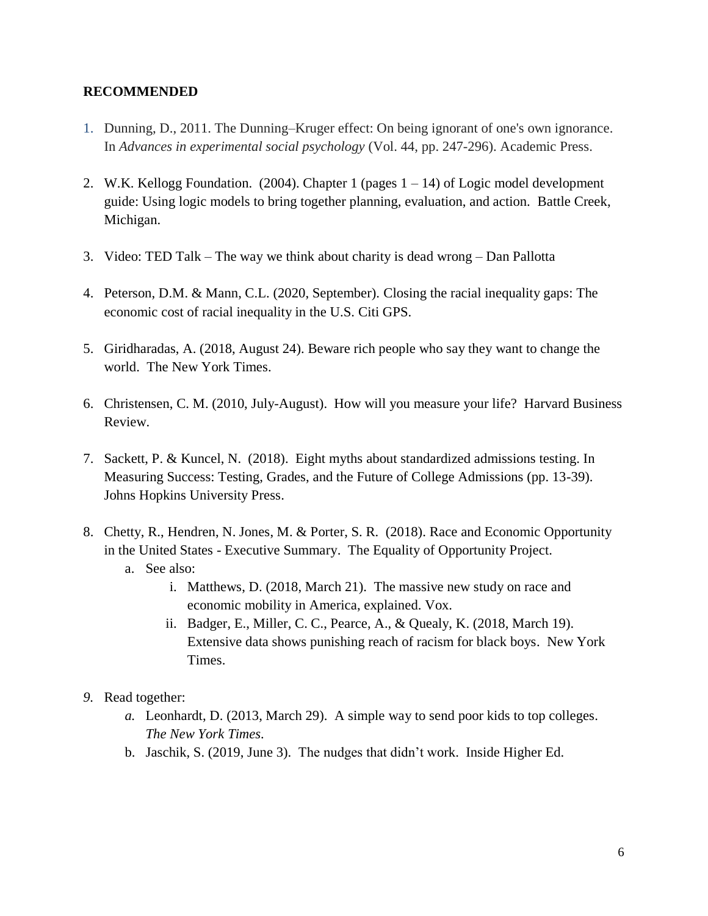#### **RECOMMENDED**

- 1. Dunning, D., 2011. The Dunning–Kruger effect: On being ignorant of one's own ignorance. In *Advances in experimental social psychology* (Vol. 44, pp. 247-296). Academic Press.
- 2. W.K. Kellogg Foundation. (2004). Chapter 1 (pages 1 14) of [Logic model development](http://www.wkkf.org/resource-directory/resource/2006/02/wk-kellogg-foundation-logic-model-development-guide)  [guide: Using logic models to bring together planning, evaluation, and action.](http://www.wkkf.org/resource-directory/resource/2006/02/wk-kellogg-foundation-logic-model-development-guide) Battle Creek, Michigan.
- 3. Video: TED Talk [The way we think about charity is dead wrong –](http://www.ted.com/talks/dan_pallotta_the_way_we_think_about_charity_is_dead_wrong?language=en) Dan Pallotta
- 4. Peterson, D.M. & Mann, C.L. (2020, September). [Closing the racial inequality gaps: The](https://www.citivelocity.com/citigps/closing-the-racial-inequality-gaps/)  [economic cost of racial inequality in the U.S.](https://www.citivelocity.com/citigps/closing-the-racial-inequality-gaps/) Citi GPS.
- 5. Giridharadas, A. (2018, August 24). [Beware rich people who say they want to change the](https://www.nytimes.com/2018/08/24/opinion/sunday/wealth-philanthropy-fake-change.html)  [world.](https://www.nytimes.com/2018/08/24/opinion/sunday/wealth-philanthropy-fake-change.html) The New York Times.
- 6. Christensen, C. M. (2010, July-August). How will you measure your life? Harvard Business Review.
- 7. Sackett, P. & Kuncel, N. (2018). Eight myths about standardized admissions testing. In Measuring Success: Testing, Grades, and the Future of College Admissions (pp. 13-39). Johns Hopkins University Press.
- 8. Chetty, R., Hendren, N. Jones, M. & Porter, S. R. (2018). [Race and Economic Opportunity](http://www.equality-of-opportunity.org/assets/documents/race_summary.pdf)  [in the United States -](http://www.equality-of-opportunity.org/assets/documents/race_summary.pdf) Executive Summary. The Equality of Opportunity Project. a. See also:
	- i. Matthews, D. (2018, March 21). [The massive new study on race and](https://www.vox.com/policy-and-politics/2018/3/21/17139300/economic-mobility-study-race-black-white-women-men-incarceration-income-chetty-hendren-jones-porter)  [economic mobility in America, explained.](https://www.vox.com/policy-and-politics/2018/3/21/17139300/economic-mobility-study-race-black-white-women-men-incarceration-income-chetty-hendren-jones-porter) Vox.
	- ii. Badger, E., Miller, C. C., Pearce, A., & Quealy, K. (2018, March 19). [Extensive data shows punishing reach of racism for black boys.](https://www.nytimes.com/interactive/2018/03/19/upshot/race-class-white-and-black-men.html) New York Times.
- *9.* Read together:
	- *a.* Leonhardt, D. (2013, March 29). A simple [way to send poor kids to top colleges.](https://www.nytimes.com/2013/03/31/opinion/sunday/a-simple-way-to-send-poor-kids-to-top-colleges.html) *The New York Times.*
	- b. Jaschik, S. (2019, June 3). [The nudges that didn't work.](https://www.insidehighered.com/admissions/article/2019/06/03/effort-change-college-going-patterns-low-income-students-reports) Inside Higher Ed.